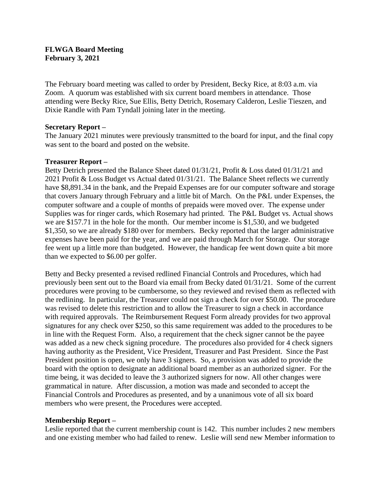## **FLWGA Board Meeting February 3, 2021**

The February board meeting was called to order by President, Becky Rice, at 8:03 a.m. via Zoom. A quorum was established with six current board members in attendance. Those attending were Becky Rice, Sue Ellis, Betty Detrich, Rosemary Calderon, Leslie Tieszen, and Dixie Randle with Pam Tyndall joining later in the meeting.

#### **Secretary Report –**

The January 2021 minutes were previously transmitted to the board for input, and the final copy was sent to the board and posted on the website.

## **Treasurer Report –**

Betty Detrich presented the Balance Sheet dated 01/31/21, Profit & Loss dated 01/31/21 and 2021 Profit & Loss Budget vs Actual dated 01/31/21. The Balance Sheet reflects we currently have \$8,891.34 in the bank, and the Prepaid Expenses are for our computer software and storage that covers January through February and a little bit of March. On the P&L under Expenses, the computer software and a couple of months of prepaids were moved over. The expense under Supplies was for ringer cards, which Rosemary had printed. The P&L Budget vs. Actual shows we are \$157.71 in the hole for the month. Our member income is \$1,530, and we budgeted \$1,350, so we are already \$180 over for members. Becky reported that the larger administrative expenses have been paid for the year, and we are paid through March for Storage. Our storage fee went up a little more than budgeted. However, the handicap fee went down quite a bit more than we expected to \$6.00 per golfer.

Betty and Becky presented a revised redlined Financial Controls and Procedures, which had previously been sent out to the Board via email from Becky dated 01/31/21. Some of the current procedures were proving to be cumbersome, so they reviewed and revised them as reflected with the redlining. In particular, the Treasurer could not sign a check for over \$50.00. The procedure was revised to delete this restriction and to allow the Treasurer to sign a check in accordance with required approvals. The Reimbursement Request Form already provides for two approval signatures for any check over \$250, so this same requirement was added to the procedures to be in line with the Request Form. Also, a requirement that the check signer cannot be the payee was added as a new check signing procedure. The procedures also provided for 4 check signers having authority as the President, Vice President, Treasurer and Past President. Since the Past President position is open, we only have 3 signers. So, a provision was added to provide the board with the option to designate an additional board member as an authorized signer. For the time being, it was decided to leave the 3 authorized signers for now. All other changes were grammatical in nature. After discussion, a motion was made and seconded to accept the Financial Controls and Procedures as presented, and by a unanimous vote of all six board members who were present, the Procedures were accepted.

# **Membership Report –**

Leslie reported that the current membership count is 142. This number includes 2 new members and one existing member who had failed to renew. Leslie will send new Member information to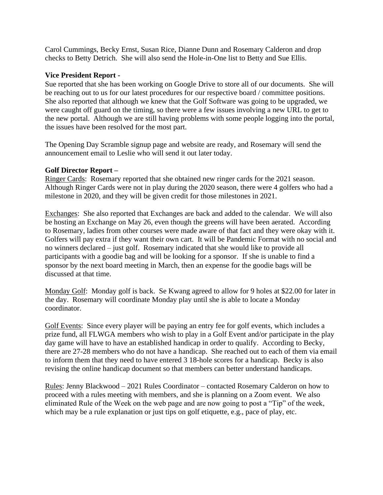Carol Cummings, Becky Ernst, Susan Rice, Dianne Dunn and Rosemary Calderon and drop checks to Betty Detrich. She will also send the Hole-in-One list to Betty and Sue Ellis.

## **Vice President Report -**

Sue reported that she has been working on Google Drive to store all of our documents. She will be reaching out to us for our latest procedures for our respective board / committee positions. She also reported that although we knew that the Golf Software was going to be upgraded, we were caught off guard on the timing, so there were a few issues involving a new URL to get to the new portal. Although we are still having problems with some people logging into the portal, the issues have been resolved for the most part.

The Opening Day Scramble signup page and website are ready, and Rosemary will send the announcement email to Leslie who will send it out later today.

## **Golf Director Report –**

Ringer Cards: Rosemary reported that she obtained new ringer cards for the 2021 season. Although Ringer Cards were not in play during the 2020 season, there were 4 golfers who had a milestone in 2020, and they will be given credit for those milestones in 2021.

Exchanges: She also reported that Exchanges are back and added to the calendar. We will also be hosting an Exchange on May 26, even though the greens will have been aerated. According to Rosemary, ladies from other courses were made aware of that fact and they were okay with it. Golfers will pay extra if they want their own cart. It will be Pandemic Format with no social and no winners declared – just golf. Rosemary indicated that she would like to provide all participants with a goodie bag and will be looking for a sponsor. If she is unable to find a sponsor by the next board meeting in March, then an expense for the goodie bags will be discussed at that time.

Monday Golf: Monday golf is back. Se Kwang agreed to allow for 9 holes at \$22.00 for later in the day. Rosemary will coordinate Monday play until she is able to locate a Monday coordinator.

Golf Events: Since every player will be paying an entry fee for golf events, which includes a prize fund, all FLWGA members who wish to play in a Golf Event and/or participate in the play day game will have to have an established handicap in order to qualify. According to Becky, there are 27-28 members who do not have a handicap. She reached out to each of them via email to inform them that they need to have entered 3 18-hole scores for a handicap. Becky is also revising the online handicap document so that members can better understand handicaps.

Rules: Jenny Blackwood – 2021 Rules Coordinator – contacted Rosemary Calderon on how to proceed with a rules meeting with members, and she is planning on a Zoom event. We also eliminated Rule of the Week on the web page and are now going to post a "Tip" of the week, which may be a rule explanation or just tips on golf etiquette, e.g., pace of play, etc.